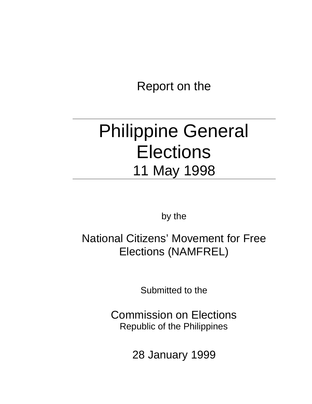Report on the

# Philippine General **Elections** 11 May 1998

by the

National Citizens' Movement for Free Elections (NAMFREL)

Submitted to the

Commission on Elections Republic of the Philippines

28 January 1999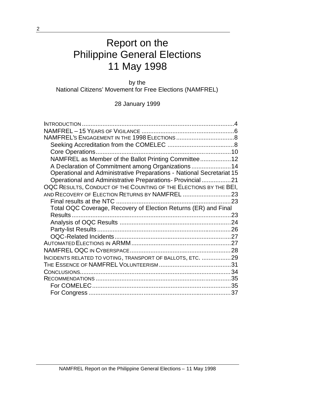# Report on the Philippine General Elections 11 May 1998

by the National Citizens' Movement for Free Elections (NAMFREL)

28 January 1999

|                                                                       | 10 |
|-----------------------------------------------------------------------|----|
| NAMFREL as Member of the Ballot Printing Committee 12                 |    |
| A Declaration of Commitment among Organizations  14                   |    |
| Operational and Administrative Preparations - National Secretariat 15 |    |
| Operational and Administrative Preparations- Provincial 21            |    |
| OQC RESULTS, CONDUCT OF THE COUNTING OF THE ELECTIONS BY THE BEI,     |    |
| AND RECOVERY OF ELECTION RETURNS BY NAMFREL 23                        |    |
|                                                                       |    |
| Total OQC Coverage, Recovery of Election Returns (ER) and Final       |    |
|                                                                       |    |
|                                                                       |    |
|                                                                       |    |
|                                                                       |    |
|                                                                       |    |
|                                                                       |    |
| INCIDENTS RELATED TO VOTING, TRANSPORT OF BALLOTS, ETC. 29            |    |
|                                                                       |    |
|                                                                       |    |
|                                                                       |    |
|                                                                       |    |
|                                                                       | 37 |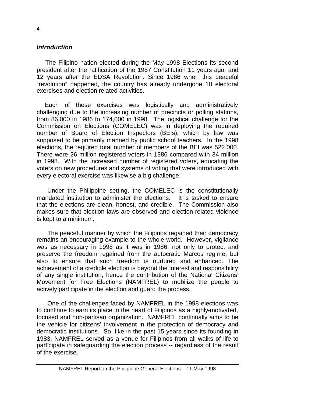#### *Introduction*

The Filipino nation elected during the May 1998 Elections its second president after the ratification of the 1987 Constitution 11 years ago, and 12 years after the EDSA Revolution. Since 1986 when this peaceful "revolution" happened, the country has already undergone 10 electoral exercises and election-related activities.

Each of these exercises was logistically and administratively challenging due to the increasing number of precincts or polling stations, from 86,000 in 1986 to 174,000 in 1998. The logistical challenge for the Commission on Elections (COMELEC) was in deploying the required number of Board of Election Inspectors (BEIs), which by law was supposed to be primarily manned by public school teachers. In the 1998 elections, the required total number of members of the BEI was 522,000. There were 26 million registered voters in 1986 compared with 34 million in 1998. With the increased number of registered voters, educating the voters on new procedures and systems of voting that were introduced with every electoral exercise was likewise a big challenge.

Under the Philippine setting, the COMELEC is the constitutionally mandated institution to administer the elections. It is tasked to ensure that the elections are clean, honest, and credible. The Commission also makes sure that election laws are observed and election-related violence is kept to a minimum.

The peaceful manner by which the Filipinos regained their democracy remains an encouraging example to the whole world. However, vigilance was as necessary in 1998 as it was in 1986, not only to protect and preserve the freedom regained from the autocratic Marcos regime, but also to ensure that such freedom is nurtured and enhanced. The achievement of a credible election is beyond the interest and responsibility of any single institution, hence the contribution of the National Citizens' Movement for Free Elections (NAMFREL) to mobilize the people to actively participate in the election and guard the process.

One of the challenges faced by NAMFREL in the 1998 elections was to continue to earn its place in the heart of Filipinos as a highly-motivated, focused and non-partisan organization. NAMFREL continually aims to be the vehicle for citizens' involvement in the protection of democracy and democratic institutions. So, like in the past 15 years since its founding in 1983, NAMFREL served as a venue for Filipinos from all walks of life to participate in safeguarding the election process -- regardless of the result of the exercise.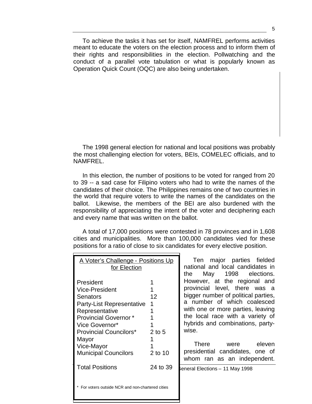To achieve the tasks it has set for itself, NAMFREL performs activities meant to educate the voters on the election process and to inform them of their rights and responsibilities in the election. Pollwatching and the conduct of a parallel vote tabulation or what is popularly known as Operation Quick Count (OQC) are also being undertaken.

The 1998 general election for national and local positions was probably the most challenging election for voters, BEIs, COMELEC officials, and to NAMFREL.

In this election, the number of positions to be voted for ranged from 20 to 39 -- a sad case for Filipino voters who had to write the names of the candidates of their choice. The Philippines remains one of two countries in the world that require voters to write the names of the candidates on the ballot. Likewise, the members of the BEI are also burdened with the responsibility of appreciating the intent of the voter and deciphering each and every name that was written on the ballot.

A total of 17,000 positions were contested in 78 provinces and in 1,608 cities and municipalities. More than 100,000 candidates vied for these positions for a ratio of close to six candidates for every elective position.

| <u> A Voter's Challenge - Positions Up</u><br>for Election                                                                                                                                                                                                             |                                          |  |
|------------------------------------------------------------------------------------------------------------------------------------------------------------------------------------------------------------------------------------------------------------------------|------------------------------------------|--|
| President<br><b>Vice-President</b><br>Senators<br><b>Party-List Representative</b><br>Representative<br><b>Provincial Governor*</b><br>Vice Governor*<br><b>Provincial Councilors*</b><br>Mayor<br>Vice-Mayor<br><b>Municipal Councilors</b><br><b>Total Positions</b> | 12<br>1<br>2 to 5<br>2 to 10<br>24 to 39 |  |
| For voters outside NCR and non-chartered cities                                                                                                                                                                                                                        |                                          |  |

Ten major parties fielded national and local candidates in the May 1998 elections. However, at the regional and provincial level, there was a bigger number of political parties, a number of which coalesced with one or more parties, leaving the local race with a variety of hybrids and combinations, partywise.

There were eleven presidential candidates, one of whom ran as an independent.

eneral Elections – 11 May 1998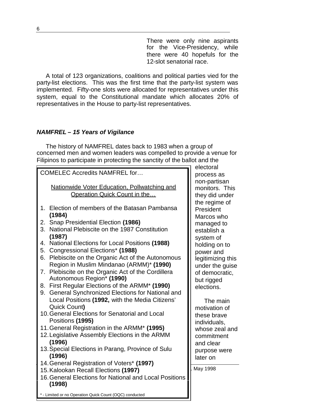There were only nine aspirants for the Vice-Presidency, while there were 40 hopefuls for the 12-slot senatorial race.

A total of 123 organizations, coalitions and political parties vied for the party-list elections. This was the first time that the party-list system was implemented. Fifty-one slots were allocated for representatives under this system, equal to the Constitutional mandate which allocates 20% of representatives in the House to party-list representatives.

# *NAMFREL – 15 Years of Vigilance*

The history of NAMFREL dates back to 1983 when a group of concerned men and women leaders was compelled to provide a venue for Filipinos to participate in protecting the sanctity of the ballot and the

|                                                                                                | electoral  |
|------------------------------------------------------------------------------------------------|------------|
| <b>COMELEC Accredits NAMFREL for</b>                                                           | process    |
|                                                                                                | non-part   |
| Nationwide Voter Education, Pollwatching and                                                   | monitors   |
| Operation Quick Count in the                                                                   | they did   |
|                                                                                                | the regin  |
| Election of members of the Batasan Pambansa<br>1.                                              | Presider   |
| (1984)                                                                                         | Marcos y   |
| 2. Snap Presidential Election (1986)                                                           | manage     |
| 3.<br>National Plebiscite on the 1987 Constitution                                             | establish  |
| (1987)                                                                                         | system o   |
| <b>National Elections for Local Positions (1988)</b><br>4.                                     | holding o  |
| Congressional Elections* (1988)<br>5.                                                          | power ar   |
| Plebiscite on the Organic Act of the Autonomous<br>6.                                          | legitimizi |
| Region in Muslim Mindanao (ARMM)* (1990)                                                       | under th   |
| Plebiscite on the Organic Act of the Cordillera<br>7.                                          | of demo    |
| Autonomous Region* (1990)                                                                      | but rigge  |
| First Regular Elections of the ARMM* (1990)<br>8.                                              | elections  |
| General Synchronized Elections for National and<br>9.                                          |            |
| Local Positions (1992, with the Media Citizens'                                                | The r      |
| Quick Count)                                                                                   | motivatio  |
| 10. General Elections for Senatorial and Local                                                 | these bra  |
| Positions (1995)                                                                               | individua  |
| 11. General Registration in the ARMM* (1995)                                                   | whose z    |
| 12. Legislative Assembly Elections in the ARMM                                                 | commitn    |
| (1996)                                                                                         | and clea   |
| 13. Special Elections in Parang, Province of Sulu                                              | purpose    |
| (1996)                                                                                         | later on   |
| 14. General Registration of Voters* (1997)                                                     | May 1998   |
| 15. Kalookan Recall Elections (1997)<br>16. General Elections for National and Local Positions |            |
| (1998)                                                                                         |            |
|                                                                                                |            |
|                                                                                                |            |

toral: process as -partisan nitors. This *r* did under regime of sident cos who managed to ablish a lem of ding on to  $n$ er and limizing this er the guise emocratic, rigged tions.

The main ivation of se brave viduals. se zeal and **nmitment** clear pose were r on

- Limited or no Operation Quick Count (OQC) conducted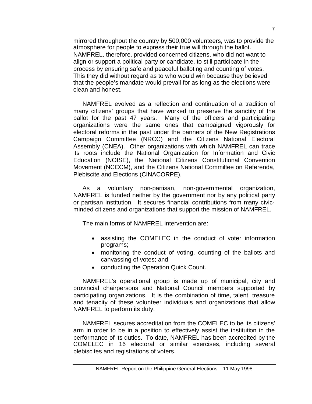mirrored throughout the country by 500,000 volunteers, was to provide the atmosphere for people to express their true will through the ballot. NAMFREL, therefore, provided concerned citizens, who did not want to align or support a political party or candidate, to still participate in the process by ensuring safe and peaceful balloting and counting of votes. This they did without regard as to who would win because they believed that the people's mandate would prevail for as long as the elections were clean and honest.

NAMFREL evolved as a reflection and continuation of a tradition of many citizens' groups that have worked to preserve the sanctity of the ballot for the past 47 years. Many of the officers and participating organizations were the same ones that campaigned vigorously for electoral reforms in the past under the banners of the New Registrations Campaign Committee (NRCC) and the Citizens National Electoral Assembly (CNEA). Other organizations with which NAMFREL can trace its roots include the National Organization for Information and Civic Education (NOISE), the National Citizens Constitutional Convention Movement (NCCCM), and the Citizens National Committee on Referenda, Plebiscite and Elections (CINACORPE).

As a voluntary non-partisan, non-governmental organization, NAMFREL is funded neither by the government nor by any political party or partisan institution. It secures financial contributions from many civicminded citizens and organizations that support the mission of NAMFREL.

The main forms of NAMFREL intervention are:

- assisting the COMELEC in the conduct of voter information programs;
- monitoring the conduct of voting, counting of the ballots and canvassing of votes; and
- conducting the Operation Quick Count.

NAMFREL's operational group is made up of municipal, city and provincial chairpersons and National Council members supported by participating organizations. It is the combination of time, talent, treasure and tenacity of these volunteer individuals and organizations that allow NAMFREL to perform its duty.

NAMFREL secures accreditation from the COMELEC to be its citizens' arm in order to be in a position to effectively assist the institution in the performance of its duties. To date, NAMFREL has been accredited by the COMELEC in 16 electoral or similar exercises, including several plebiscites and registrations of voters.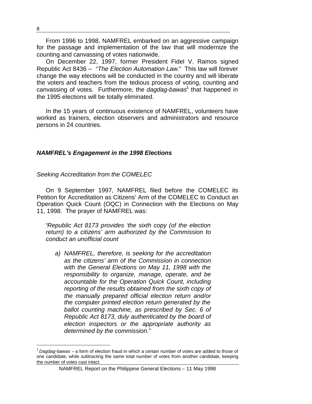From 1996 to 1998, NAMFREL embarked on an aggressive campaign for the passage and implementation of the law that will modernize the counting and canvassing of votes nationwide.

On December 22, 1997, former President Fidel V. Ramos signed Republic Act 8436 -- "*The Election Automation Law*." This law will forever change the way elections will be conducted in the country and will liberate the voters and teachers from the tedious process of voting, counting and canvassing of votes. Furthermore, the *dagdag-bawas*<sup>1</sup> that happened in the 1995 elections will be totally eliminated.

In the 15 years of continuous existence of NAMFREL, volunteers have worked as trainers, election observers and administrators and resource persons in 24 countries.

#### *NAMFREL's Engagement in the 1998 Elections*

*Seeking Accreditation from the COMELEC*

On 9 September 1997, NAMFREL filed before the COMELEC its Petition for Accreditation as Citizens' Arm of the COMELEC to Conduct an Operation Quick Count (OQC) in Connection with the Elections on May 11, 1998. The prayer of NAMFREL was:

"*Republic Act 8173 provides 'the sixth copy (of the election return) to a citizens' arm authorized by the Commission to conduct an unofficial count*

*a) NAMFREL, therefore, is seeking for the accreditation as the citizens' arm of the Commission in connection with the General Elections on May 11, 1998 with the responsibility to organize, manage, operate, and be accountable for the Operation Quick Count, including reporting of the results obtained from the sixth copy of the manually prepared official election return and/or the computer printed election return generated by the ballot counting machine, as prescribed by Sec. 6 of Republic Act 8173, duly authenticated by the board of election inspectors or the appropriate authority as determined by the commission.*"

<sup>1</sup> *Dagdag-bawas –* a form of election fraud in which a certain number of votes are added to those of one candidate, while subtracting the same total number of votes from another candidate, keeping the number of votes cast intact.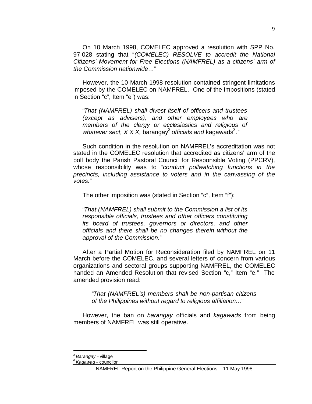On 10 March 1998, COMELEC approved a resolution with SPP No. 97-028 stating that "*(COMELEC) RESOLVE to accredit the National Citizens' Movement for Free Elections (NAMFREL) as a citizens' arm of the Commission nationwide…*"

However, the 10 March 1998 resolution contained stringent limitations imposed by the COMELEC on NAMFREL. One of the impositions (stated in Section "c", Item "e") was:

"*That (NAMFREL) shall divest itself of officers and trustees (except as advisers), and other employees who are members of the clergy or ecclesiastics and religious of* whatever sect, X X X, barangay<sup>2</sup> officials and kagawads<sup>3</sup>."

Such condition in the resolution on NAMFREL's accreditation was not stated in the COMELEC resolution that accredited as citizens' arm of the poll body the Parish Pastoral Council for Responsible Voting (PPCRV), whose responsibility was to "*conduct pollwatching functions in the precincts, including assistance to voters and in the canvassing of the votes.*"

The other imposition was (stated in Section "c", Item "f"):

"*That (NAMFREL) shall submit to the Commission a list of its responsible officials, trustees and other officers constituting its board of trustees, governors or directors, and other officials and there shall be no changes therein without the approval of the Commission*."

After a Partial Motion for Reconsideration filed by NAMFREL on 11 March before the COMELEC, and several letters of concern from various organizations and sectoral groups supporting NAMFREL, the COMELEC handed an Amended Resolution that revised Section "c," Item "e." The amended provision read:

"*That (NAMFREL's) members shall be non-partisan citizens of the Philippines without regard to religious affiliation*…"

However, the ban on *barangay* officials and *kagawads* from being members of NAMFREL was still operative.

<sup>2</sup> *Barangay* - village

<sup>3</sup> *Kagawad* - councilor

NAMFREL Report on the Philippine General Elections – 11 May 1998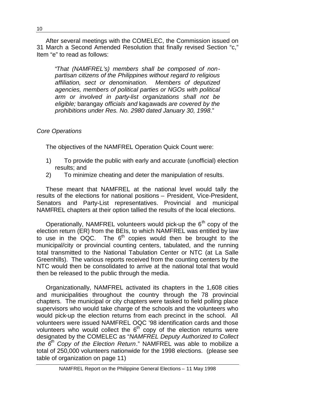After several meetings with the COMELEC, the Commission issued on 31 March a Second Amended Resolution that finally revised Section "c," Item "e" to read as follows:

"*That (NAMFREL's) members shall be composed of nonpartisan citizens of the Philippines without regard to religious affiliation, sect or denomination. Members of deputized agencies, members of political parties or NGOs with political arm or involved in party-list organizations shall not be eligible;* barangay *officials and* kagawads *are covered by the prohibitions under Res. No. 2980 dated January 30, 1998*."

# *Core Operations*

The objectives of the NAMFREL Operation Quick Count were:

- 1) To provide the public with early and accurate (unofficial) election results; and
- 2) To minimize cheating and deter the manipulation of results.

These meant that NAMFREL at the national level would tally the results of the elections for national positions – President, Vice-President, Senators and Party-List representatives. Provincial and municipal NAMFREL chapters at their option tallied the results of the local elections.

Operationally, NAMFREL volunteers would pick-up the  $6<sup>th</sup>$  copy of the election return (ER) from the BEIs, to which NAMFREL was entitled by law to use in the  $OQC$ . The  $6<sup>th</sup>$  copies would then be brought to the municipal/city or provincial counting centers, tabulated, and the running total transmitted to the National Tabulation Center or NTC (at La Salle Greenhills). The various reports received from the counting centers by the NTC would then be consolidated to arrive at the national total that would then be released to the public through the media.

Organizationally, NAMFREL activated its chapters in the 1,608 cities and municipalities throughout the country through the 78 provincial chapters. The municipal or city chapters were tasked to field polling place supervisors who would take charge of the schools and the volunteers who would pick-up the election returns from each precinct in the school. All volunteers were issued NAMFREL OQC '98 identification cards and those volunteers who would collect the  $6<sup>th</sup>$  copy of the election returns were designated by the COMELEC as "*NAMFREL Deputy Authorized to Collect the 6th Copy of the Election Return*." NAMFREL was able to mobilize a total of 250,000 volunteers nationwide for the 1998 elections. (please see table of organization on page 11)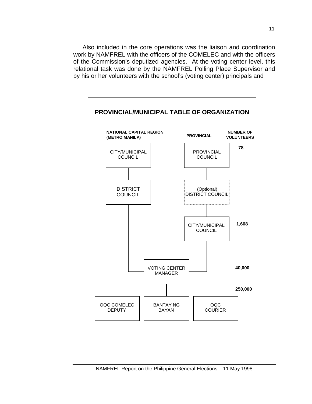Also included in the core operations was the liaison and coordination work by NAMFREL with the officers of the COMELEC and with the officers of the Commission's deputized agencies. At the voting center level, this relational task was done by the NAMFREL Polling Place Supervisor and by his or her volunteers with the school's (voting center) principals and

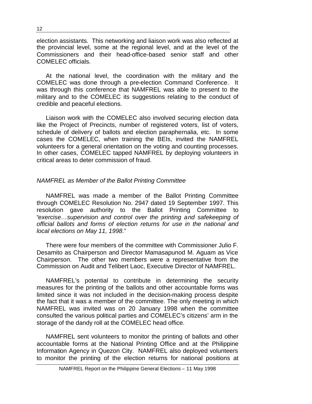election assistants. This networking and liaison work was also reflected at the provincial level, some at the regional level, and at the level of the Commissioners and their head-office-based senior staff and other COMELEC officials.

At the national level, the coordination with the military and the COMELEC was done through a pre-election Command Conference. It was through this conference that NAMFREL was able to present to the military and to the COMELEC its suggestions relating to the conduct of credible and peaceful elections.

Liaison work with the COMELEC also involved securing election data like the Project of Precincts, number of registered voters, list of voters, schedule of delivery of ballots and election paraphernalia, etc. In some cases the COMELEC, when training the BEIs, invited the NAMFREL volunteers for a general orientation on the voting and counting processes. In other cases, COMELEC tapped NAMFREL by deploying volunteers in critical areas to deter commission of fraud.

#### *NAMFREL as Member of the Ballot Printing Committee*

NAMFREL was made a member of the Ballot Printing Committee through COMELEC Resolution No. 2947 dated 19 September 1997. This resolution gave authority to the Ballot Printing Committee to "*exercise…supervision and control over the printing and safekeeping of official ballots and forms of election returns for use in the national and local elections on May 11, 1998*."

There were four members of the committee with Commissioner Julio F. Desamito as Chairperson and Director Mamasapunod M. Aguam as Vice Chairperson. The other two members were a representative from the Commission on Audit and Telibert Laoc, Executive Director of NAMFREL.

NAMFREL's potential to contribute in determining the security measures for the printing of the ballots and other accountable forms was limited since it was not included in the decision-making process despite the fact that it was a member of the committee. The only meeting in which NAMFREL was invited was on 20 January 1998 when the committee consulted the various political parties and COMELEC's citizens' arm in the storage of the dandy roll at the COMELEC head office.

NAMFREL sent volunteers to monitor the printing of ballots and other accountable forms at the National Printing Office and at the Philippine Information Agency in Quezon City. NAMFREL also deployed volunteers to monitor the printing of the election returns for national positions at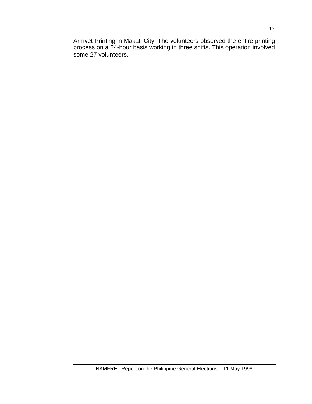Armvet Printing in Makati City. The volunteers observed the entire printing process on a 24-hour basis working in three shifts. This operation involved some 27 volunteers.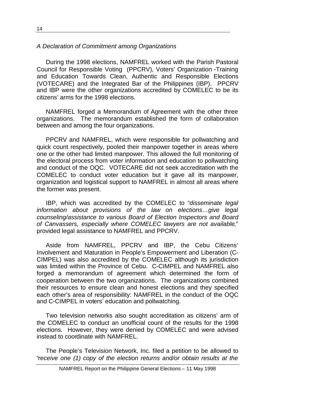# *A Declaration of Commitment among Organizations*

During the 1998 elections, NAMFREL worked with the Parish Pastoral Council for Responsible Voting (PPCRV), Voters' Organization -Training and Education Towards Clean, Authentic and Responsible Elections (VOTECARE) and the Integrated Bar of the Philippines (IBP). PPCRV and IBP were the other organizations accredited by COMELEC to be its citizens' arms for the 1998 elections.

NAMFREL forged a Memorandum of Agreement with the other three organizations. The memorandum established the form of collaboration between and among the four organizations.

PPCRV and NAMFREL, which were responsible for pollwatching and quick count respectively, pooled their manpower together in areas where one or the other had limited manpower. This allowed the full monitoring of the electoral process from voter information and education to pollwatching and conduct of the OQC. VOTECARE did not seek accreditation with the COMELEC to conduct voter education but it gave all its manpower, organization and logistical support to NAMFREL in almost all areas where the former was present.

IBP, which was accredited by the COMELEC to "*disseminate legal information about provisions of the law on elections…give legal counseling/assistance to various Board of Election Inspectors and Board of Canvassers, especially where COMELEC lawyers are not available*," provided legal assistance to NAMFREL and PPCRV.

Aside from NAMFREL, PPCRV and IBP, the Cebu Citizens' Involvement and Maturation in People's Empowerment and Liberation (C-CIMPEL) was also accredited by the COMELEC although its jurisdiction was limited within the Province of Cebu. C-CIMPEL and NAMFREL also forged a memorandum of agreement which determined the form of cooperation between the two organizations. The organizations combined their resources to ensure clean and honest elections and they specified each other's area of responsibility: NAMFREL in the conduct of the OQC and C-CIMPEL in voters' education and pollwatching.

Two television networks also sought accreditation as citizens' arm of the COMELEC to conduct an unofficial count of the results for the 1998 elections. However, they were denied by COMELEC and were advised instead to coordinate with NAMFREL.

The People's Television Network, Inc. filed a petition to be allowed to "*receive one (1) copy of the election returns and/or obtain results at the*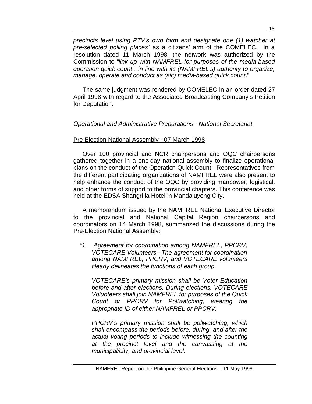*precincts level using PTV's own form and designate one (1) watcher at pre-selected polling places*" as a citizens' arm of the COMELEC. In a resolution dated 11 March 1998, the network was authorized by the Commission to "*link up with NAMFREL for purposes of the media-based operation quick count…in line with its (NAMFREL's) authority to organize, manage, operate and conduct as (sic) media-based quick count*."

The same judgment was rendered by COMELEC in an order dated 27 April 1998 with regard to the Associated Broadcasting Company's Petition for Deputation.

# *Operational and Administrative Preparations - National Secretariat*

# Pre-Election National Assembly - 07 March 1998

Over 100 provincial and NCR chairpersons and OQC chairpersons gathered together in a one-day national assembly to finalize operational plans on the conduct of the Operation Quick Count. Representatives from the different participating organizations of NAMFREL were also present to help enhance the conduct of the OQC by providing manpower, logistical, and other forms of support to the provincial chapters. This conference was held at the EDSA Shangri-la Hotel in Mandaluyong City.

A memorandum issued by the NAMFREL National Executive Director to the provincial and National Capital Region chairpersons and coordinators on 14 March 1998, summarized the discussions during the Pre-Election National Assembly:

"*1. Agreement for coordination among NAMFREL, PPCRV, VOTECARE Volunteers - The agreement for coordination among NAMFREL, PPCRV, and VOTECARE volunteers clearly delineates the functions of each group.*

*VOTECARE's primary mission shall be Voter Education before and after elections. During elections, VOTECARE Volunteers shall join NAMFREL for purposes of the Quick Count or PPCRV for Pollwatching, wearing the appropriate ID of either NAMFREL or PPCRV.*

*PPCRV's primary mission shall be pollwatching, which shall encompass the periods before, during, and after the actual voting periods to include witnessing the counting at the precinct level and the canvassing at the municipal/city, and provincial level.*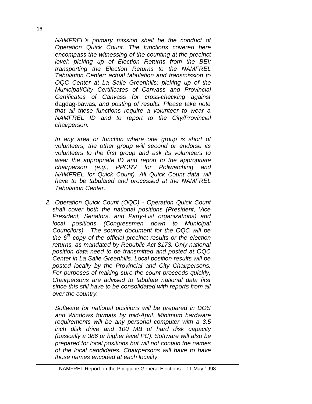*NAMFREL's primary mission shall be the conduct of Operation Quick Count. The functions covered here encompass the witnessing of the counting at the precinct level; picking up of Election Returns from the BEI; transporting the Election Returns to the NAMFREL Tabulation Center; actual tabulation and transmission to OQC Center at La Salle Greenhills; picking up of the Municipal/City Certificates of Canvass and Provincial Certificates of Canvass for cross-checking against* dagdag-bawas*; and posting of results. Please take note that all these functions require a volunteer to wear a NAMFREL ID and to report to the City/Provincial chairperson.*

*In any area or function where one group is short of volunteers, the other group will second or endorse its volunteers to the first group and ask its volunteers to wear the appropriate ID and report to the appropriate chairperson (e.g., PPCRV for Pollwatching and NAMFREL for Quick Count). All Quick Count data will have to be tabulated and processed at the NAMFREL Tabulation Center.*

*2. Operation Quick Count (OQC) - Operation Quick Count shall cover both the national positions (President, Vice President, Senators, and Party-List organizations) and local positions (Congressmen down to Municipal Councilors). The source document for the OQC will be the 6th copy of the official precinct results or the election returns, as mandated by Republic Act 8173. Only national position data need to be transmitted and posted at OQC Center in La Salle Greenhills. Local position results will be posted locally by the Provincial and City Chairpersons. For purposes of making sure the count proceeds quickly, Chairpersons are advised to tabulate national data first since this still have to be consolidated with reports from all over the country.*

*Software for national positions will be prepared in DOS and Windows formats by mid-April. Minimum hardware requirements will be any personal computer with a 3.5 inch disk drive and 100 MB of hard disk capacity (basically a 386 or higher level PC). Software will also be prepared for local positions but will not contain the names of the local candidates. Chairpersons will have to have those names encoded at each locality.*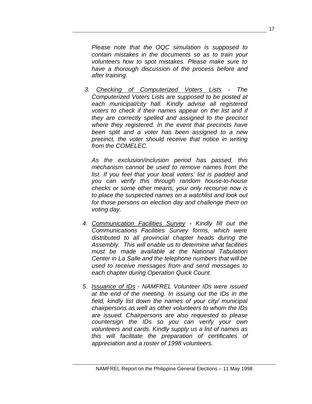*Please note that the OQC simulation is supposed to contain mistakes in the documents so as to train your volunteers how to spot mistakes. Please make sure to have a thorough discussion of the process before and after training.*

*3. Checking of Computerized Voters Lists - The Computerized Voters Lists are supposed to be posted at each municipal/city hall. Kindly advise all registered voters to check if their names appear on the list and if they are correctly spelled and assigned to the precinct where they registered. In the event that precincts have been split and a voter has been assigned to a new precinct, the voter should receive that notice in writing from the COMELEC.*

*As the exclusion/inclusion period has passed, this mechanism cannot be used to remove names from the list. If you feel that your local voters' list is padded and you can verify this through random house-to-house checks or some other means, your only recourse now is to place the suspected names on a watchlist and look out for those persons on election day and challenge them on voting day.*

- *4. Communication Facilities Survey - Kindly fill out the Communications Facilities Survey forms, which were distributed to all provincial chapter heads during the Assembly. This will enable us to determine what facilities must be made available at the National Tabulation Center in La Salle and the telephone numbers that will be used to receive messages from and send messages to each chapter during Operation Quick Count.*
- *5. Issuance of IDs - NAMFREL Volunteer IDs were issued at the end of the meeting. In issuing out the IDs in the field, kindly list down the names of your city/ municipal chairpersons as well as other volunteers to whom the IDs are issued. Chairpersons are also requested to please countersign the IDs so you can verify your own volunteers and cards. Kindly supply us a list of names as this will facilitate the preparation of certificates of appreciation and a roster of 1998 volunteers.*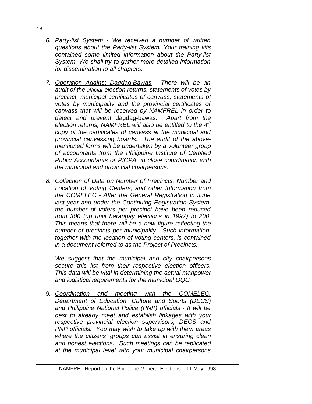- *6. Party-list System - We received a number of written questions about the Party-list System. Your training kits contained some limited information about the Party-list System. We shall try to gather more detailed information for dissemination to all chapters.*
- *7. Operation Against Dagdag-Bawas - There will be an audit of the official election returns, statements of votes by precinct, municipal certificates of canvass, statements of votes by municipality and the provincial certificates of canvass that will be received by NAMFREL in order to detect and prevent* dagdag-bawas*. Apart from the election returns, NAMFREL will also be entitled to the 4th copy of the certificates of canvass at the municipal and provincial canvassing boards. The audit of the abovementioned forms will be undertaken by a volunteer group of accountants from the Philippine Institute of Certified Public Accountants or PICPA, in close coordination with the municipal and provincial chairpersons.*
- *8. Collection of Data on Number of Precincts, Number and Location of Voting Centers, and other Information from the COMELEC - After the General Registration in June last year and under the Continuing Registration System, the number of voters per precinct have been reduced from 300 (up until barangay elections in 1997) to 200. This means that there will be a new figure reflecting the number of precincts per municipality. Such information, together with the location of voting centers, is contained in a document referred to as the Project of Precincts.*

*We suggest that the municipal and city chairpersons secure this list from their respective election officers. This data will be vital in determining the actual manpower and logistical requirements for the municipal OQC.*

*9. Coordination and meeting with the COMELEC, Department of Education, Culture and Sports (DECS) and Philippine National Police (PNP) officials - It will be best to already meet and establish linkages with your respective provincial election supervisors, DECS and PNP officials. You may wish to take up with them areas where the citizens' groups can assist in ensuring clean and honest elections. Such meetings can be replicated at the municipal level with your municipal chairpersons*

18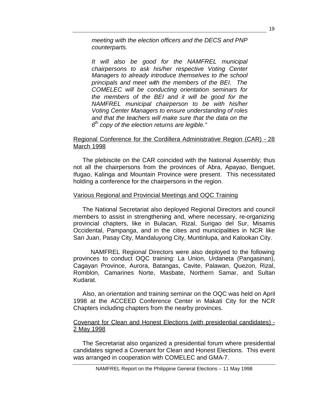*meeting with the election officers and the DECS and PNP counterparts.*

*It will also be good for the NAMFREL municipal chairpersons to ask his/her respective Voting Center Managers to already introduce themselves to the school principals and meet with the members of the BEI. The COMELEC will be conducting orientation seminars for the members of the BEI and it will be good for the NAMFREL municipal chairperson to be with his/her Voting Center Managers to ensure understanding of roles and that the teachers will make sure that the data on the 6 th copy of the election returns are legible."*

# Regional Conference for the Cordillera Administrative Region (CAR) - 28 March 1998

The plebiscite on the CAR coincided with the National Assembly; thus not all the chairpersons from the provinces of Abra, Apayao, Benguet, Ifugao, Kalinga and Mountain Province were present. This necessitated holding a conference for the chairpersons in the region.

# Various Regional and Provincial Meetings and OQC Training

The National Secretariat also deployed Regional Directors and council members to assist in strengthening and, where necessary, re-organizing provincial chapters, like in Bulacan, Rizal, Surigao del Sur, Misamis Occidental, Pampanga, and in the cities and municipalities in NCR like San Juan, Pasay City, Mandaluyong City, Muntinlupa, and Kalookan City.

NAMFREL Regional Directors were also deployed to the following provinces to conduct OQC training: La Union, Urdaneta (Pangasinan), Cagayan Province, Aurora, Batangas, Cavite, Palawan, Quezon, Rizal, Romblon, Camarines Norte, Masbate, Northern Samar, and Sultan Kudarat.

Also, an orientation and training seminar on the OQC was held on April 1998 at the ACCEED Conference Center in Makati City for the NCR Chapters including chapters from the nearby provinces.

#### Covenant for Clean and Honest Elections (with presidential candidates) - 2 May 1998

The Secretariat also organized a presidential forum where presidential candidates signed a Covenant for Clean and Honest Elections. This event was arranged in cooperation with COMELEC and GMA-7.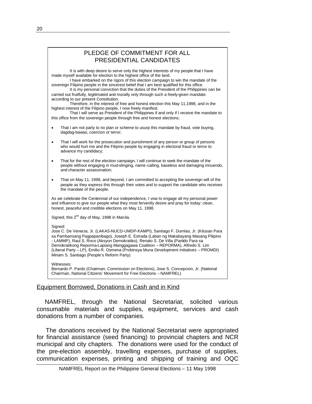|           | PLEDGE OF COMMITMENT FOR ALL<br>PRESIDENTIAL CANDIDATES                                                                                                                                                                                                                                                                                                                                                                                                                                                                                                                                                                                                                                                                                                                                                                                                                                                              |
|-----------|----------------------------------------------------------------------------------------------------------------------------------------------------------------------------------------------------------------------------------------------------------------------------------------------------------------------------------------------------------------------------------------------------------------------------------------------------------------------------------------------------------------------------------------------------------------------------------------------------------------------------------------------------------------------------------------------------------------------------------------------------------------------------------------------------------------------------------------------------------------------------------------------------------------------|
|           | It is with deep desire to serve only the highest interests of my people that I have<br>made myself available for election to the highest office of the land.<br>I have embarked on the rigors of this election campaign to win the mandate of the<br>sovereign Filipino people in the sincerest belief that I am best qualified for this office.<br>It is my personal conviction that the duties of the President of the Philippines can be<br>carried out fruitfully, legitimated and morally only through such a freely-given mandate<br>according to our present Constitution.<br>Therefore, in the interest of free and honest election this May 11,1998, and in the<br>highest interest of the Filipino people, I now freely manifest.<br>That I will serve as President of the Philippines if and only if I receive the mandate to<br>this office from the sovereign people through free and honest elections; |
| $\bullet$ | That I am not party to no plan or scheme to usurp this mandate by fraud, vote buying,<br>dagdag-bawas, coercion or terror;                                                                                                                                                                                                                                                                                                                                                                                                                                                                                                                                                                                                                                                                                                                                                                                           |
| $\bullet$ | That I will work for the prosecution and punishment of any person or group of persons<br>who would hurt me and the Filipino people by engaging in electoral fraud or terror to<br>advance my candidacy;                                                                                                                                                                                                                                                                                                                                                                                                                                                                                                                                                                                                                                                                                                              |
| $\bullet$ | That for the rest of the election campaign, I will continue to seek the mandate of the<br>people without engaging in mud-slinging, name-calling, baseless and damaging innuendo,<br>and character assassination:                                                                                                                                                                                                                                                                                                                                                                                                                                                                                                                                                                                                                                                                                                     |
|           | That on May 11, 1998, and beyond, I am committed to accepting the sovereign will of the<br>people as they express this through their votes and to support the candidate who receives<br>the mandate of the people.                                                                                                                                                                                                                                                                                                                                                                                                                                                                                                                                                                                                                                                                                                   |
|           | As we celebrate the Centennial of our independence, I yow to engage all my personal power<br>and influence to give our people what they most fervently desire and pray for today: clean,<br>honest, peaceful and credible elections on May 11, 1998.                                                                                                                                                                                                                                                                                                                                                                                                                                                                                                                                                                                                                                                                 |
|           | Signed, this 2 <sup>nd</sup> day of May, 1998 in Manila.                                                                                                                                                                                                                                                                                                                                                                                                                                                                                                                                                                                                                                                                                                                                                                                                                                                             |
| Signed:   | Jose C. De Venecia, Jr. (LAKAS-NUCD-UMDP-KAMPI), Santiago F. Dumlao, Jr. (Kilusan Para<br>sa Pambansang Pagpapanibago), Joseph E. Estrada (Laban ng Makabayang Masang Pilipino<br>- LAMMP), Raul S. Roco (Aksyon Demokratiko), Renato S. De Villa (Partido Para sa<br>Demokratikong Reporma-Lapiang Manggagawa Coalition - REPORMA), Alfredo S. Lim<br>(Liberal Party - LP), Emilio R. Osmena (Probinsya Muna Development Initiatives - PROMDI)<br>Miriam S. Santiago (People's Reform Party)                                                                                                                                                                                                                                                                                                                                                                                                                        |
|           | Witnesses:<br>Bernardo P. Pardo (Chairman, Commission on Elections), Jose S. Concepcion, Jr. (National<br>Chairman, National Citizens' Movement for Free Elections - NAMFREL)                                                                                                                                                                                                                                                                                                                                                                                                                                                                                                                                                                                                                                                                                                                                        |

#### Equipment Borrowed, Donations in Cash and in Kind

NAMFREL, through the National Secretariat, solicited various consumable materials and supplies, equipment, services and cash donations from a number of companies.

The donations received by the National Secretariat were appropriated for financial assistance (seed financing) to provincial chapters and NCR municipal and city chapters. The donations were used for the conduct of the pre-election assembly, travelling expenses, purchase of supplies, communication expenses, printing and shipping of training and OQC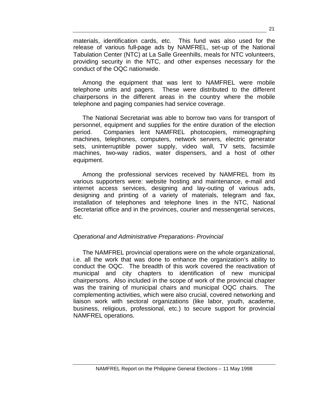materials, identification cards, etc. This fund was also used for the release of various full-page ads by NAMFREL, set-up of the National Tabulation Center (NTC) at La Salle Greenhills, meals for NTC volunteers, providing security in the NTC, and other expenses necessary for the conduct of the OQC nationwide.

Among the equipment that was lent to NAMFREL were mobile telephone units and pagers. These were distributed to the different chairpersons in the different areas in the country where the mobile telephone and paging companies had service coverage.

The National Secretariat was able to borrow two vans for transport of personnel, equipment and supplies for the entire duration of the election period. Companies lent NAMFREL photocopiers, mimeographing machines, telephones, computers, network servers, electric generator sets, uninterruptible power supply, video wall, TV sets, facsimile machines, two-way radios, water dispensers, and a host of other equipment.

Among the professional services received by NAMFREL from its various supporters were: website hosting and maintenance, e-mail and internet access services, designing and lay-outing of various ads, designing and printing of a variety of materials, telegram and fax, installation of telephones and telephone lines in the NTC, National Secretariat office and in the provinces, courier and messengerial services, etc.

# *Operational and Administrative Preparations- Provincial*

The NAMFREL provincial operations were on the whole organizational, i.e. all the work that was done to enhance the organization's ability to conduct the OQC. The breadth of this work covered the reactivation of municipal and city chapters to identification of new municipal chairpersons. Also included in the scope of work of the provincial chapter was the training of municipal chairs and municipal OQC chairs. The complementing activities, which were also crucial, covered networking and liaison work with sectoral organizations (like labor, youth, academe, business, religious, professional, etc.) to secure support for provincial NAMFREL operations.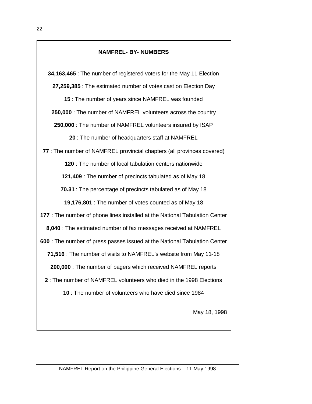# **NAMFREL- BY- NUMBERS**

**34,163,465** : The number of registered voters for the May 11 Election **27,259,385** : The estimated number of votes cast on Election Day

**15** : The number of years since NAMFREL was founded

**250,000** : The number of NAMFREL volunteers across the country

**250,000** : The number of NAMFREL volunteers insured by ISAP

**20** : The number of headquarters staff at NAMFREL

**77** : The number of NAMFREL provincial chapters (all provinces covered)

**120** : The number of local tabulation centers nationwide

**121,409** : The number of precincts tabulated as of May 18

**70.31** : The percentage of precincts tabulated as of May 18

**19,176,801** : The number of votes counted as of May 18

**177** : The number of phone lines installed at the National Tabulation Center

**8,040** : The estimated number of fax messages received at NAMFREL

**600** : The number of press passes issued at the National Tabulation Center

**71,516** : The number of visits to NAMFREL's website from May 11-18

**200,000** : The number of pagers which received NAMFREL reports

**2** : The number of NAMFREL volunteers who died in the 1998 Elections

**10** : The number of volunteers who have died since 1984

May 18, 1998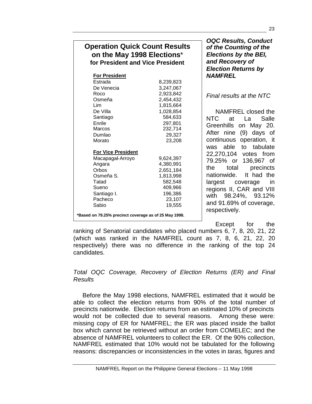| <b>Operation Quick Count Results</b> |
|--------------------------------------|
| on the May 1998 Elections*           |
| for President and Vice President     |

| <b>For President</b>      |           |
|---------------------------|-----------|
| Estrada                   | 8,239,823 |
| De Venecia                | 3,247,067 |
| Roco                      | 2,923,842 |
| Osmeña                    | 2,454,432 |
| Lim                       | 1,815,664 |
| De Villa                  | 1,028,854 |
| Santiago                  | 584,633   |
| Enrile                    | 297,801   |
| Marcos                    | 232,714   |
| Dumlao                    | 29,327    |
| Morato                    | 23,208    |
| <b>For Vice President</b> |           |
| Macapagal-Arroyo          | 9,624,397 |
| Angara                    | 4,380,991 |
| Orbos                     | 2,651,184 |
| Osmeña S.                 | 1,813,998 |
| Tatad                     | 582,548   |
| Sueno                     | 409,966   |
| Santiago I.               | 196,386   |
| Pacheco                   | 23,107    |
|                           | 19,555    |

*OQC Results, Conduct of the Counting of the Elections by the BEI, and Recovery of Election Returns by NAMFREL*

*Final results at the NTC*

NAMFREL closed the NTC at La Salle Greenhills on May 20. After nine (9) days of continuous operation, it was able to tabulate 22,270,104 votes from 79.25% or 136,967 of the total precincts nationwide. It had the largest coverage in regions II, CAR and VIII with 98.24%, 93.12% and 91.69% of coverage, respectively.

Except for the

ranking of Senatorial candidates who placed numbers 6, 7, 8, 20, 21, 22 (which was ranked in the NAMFREL count as 7, 8, 6, 21, 22, 20 respectively) there was no difference in the ranking of the top 24 candidates.

*Total OQC Coverage, Recovery of Election Returns (ER) and Final Results*

Before the May 1998 elections, NAMFREL estimated that it would be able to collect the election returns from 90% of the total number of precincts nationwide. Election returns from an estimated 10% of precincts would not be collected due to several reasons. Among these were: missing copy of ER for NAMFREL; the ER was placed inside the ballot box which cannot be retrieved without an order from COMELEC; and the absence of NAMFREL volunteers to collect the ER. Of the 90% collection, NAMFREL estimated that 10% would not be tabulated for the following reasons: discrepancies or inconsistencies in the votes in *taras*, figures and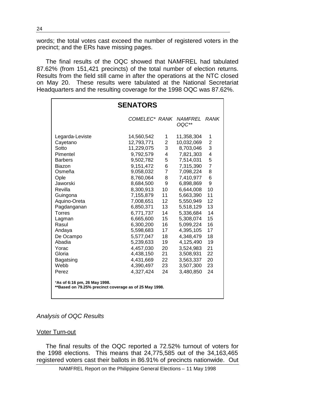words; the total votes cast exceed the number of registered voters in the precinct; and the ERs have missing pages.

The final results of the OQC showed that NAMFREL had tabulated 87.62% (from 151,421 precincts) of the total number of election returns. Results from the field still came in after the operations at the NTC closed on May 20. These results were tabulated at the National Secretariat Headquarters and the resulting coverage for the 1998 OQC was 87.62%.

| <b>SENATORS</b>                                                                        |               |                         |                         |                         |
|----------------------------------------------------------------------------------------|---------------|-------------------------|-------------------------|-------------------------|
|                                                                                        | COMELEC* RANK |                         | <i>NAMFREL</i><br>OQC** | RANK                    |
| Legarda-Leviste                                                                        | 14,560,542    | 1                       | 11,358,304              | 1                       |
| Cayetano                                                                               | 12,793,771    | $\overline{\mathbf{c}}$ | 10,032,069              | $\overline{\mathbf{c}}$ |
| Sotto                                                                                  | 11,229,075    | 3                       | 8,703,046               | 3                       |
| Pimentel                                                                               | 9,792,579     | 4                       | 7,821,303               | 4                       |
| <b>Barbers</b>                                                                         | 9,502,782     | 5                       | 7,514,031               | 5                       |
| Biazon                                                                                 | 9,151,472     | 6                       | 7,315,390               | $\overline{7}$          |
| Osmeña                                                                                 | 9,058,032     | $\overline{7}$          | 7,098,224               | 8                       |
| Ople                                                                                   | 8,760,064     | 8                       | 7,410,977               | 6                       |
| Jaworski                                                                               | 8,684,500     | 9                       | 6,898,869               | 9                       |
| Revilla                                                                                | 8,300,913     | 10                      | 6,644,008               | 10                      |
| Guingona                                                                               | 7,155,879     | 11                      | 5,663,390               | 11                      |
| Aquino-Oreta                                                                           | 7,008,651     | 12                      | 5,550,949               | 12                      |
| Pagdanganan                                                                            | 6,850,371     | 13                      | 5,518,129               | 13                      |
| Torres                                                                                 | 6,771,737     | 14                      | 5,336,684               | 14                      |
| Lagman                                                                                 | 6,665,600     | 15                      | 5,308,074               | 15                      |
| Rasul                                                                                  | 6,300,200     | 16                      | 5,099,224               | 16                      |
| Andaya                                                                                 | 5,598,683     | 17                      | 4,395,105               | 17                      |
| De Ocampo                                                                              | 5,577,047     | 18                      | 4,348,479               | 18                      |
| Abadia                                                                                 | 5,239,633     | 19                      | 4,125,490               | 19                      |
| Yorac                                                                                  | 4,457,030     | 20                      | 3,524,983               | 21                      |
| Gloria                                                                                 | 4,438,150     | 21                      | 3,508,931               | 22                      |
| Bagatsing                                                                              | 4,431,669     | 22                      | 3,563,337               | 20                      |
| Webb                                                                                   | 4,390,497     | 23                      | 3,507,300               | 23                      |
| Perez                                                                                  | 4,327,424     | 24                      | 3,480,850               | 24                      |
| *As of 6:16 pm, 26 May 1998.<br>**Based on 79.25% precinct coverage as of 25 May 1998. |               |                         |                         |                         |

#### *Analysis of OQC Results*

#### Voter Turn-out

The final results of the OQC reported a 72.52% turnout of voters for the 1998 elections. This means that 24,775,585 out of the 34,163,465 registered voters cast their ballots in 86.91% of precincts nationwide. Out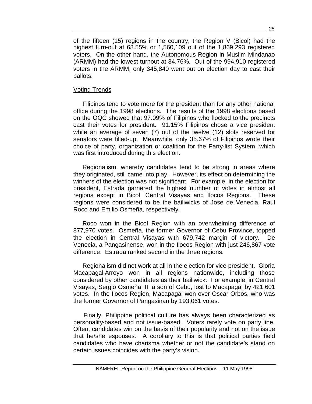of the fifteen (15) regions in the country, the Region V (Bicol) had the highest turn-out at 68.55% or 1,560,109 out of the 1,869,293 registered voters. On the other hand, the Autonomous Region in Muslim Mindanao (ARMM) had the lowest turnout at 34.76%. Out of the 994,910 registered voters in the ARMM, only 345,840 went out on election day to cast their ballots.

## Voting Trends

Filipinos tend to vote more for the president than for any other national office during the 1998 elections. The results of the 1998 elections based on the OQC showed that 97.09% of Filipinos who flocked to the precincts cast their votes for president. 91.15% Filipinos chose a vice president while an average of seven (7) out of the twelve (12) slots reserved for senators were filled-up. Meanwhile, only 35.67% of Filipinos wrote their choice of party, organization or coalition for the Party-list System, which was first introduced during this election.

Regionalism, whereby candidates tend to be strong in areas where they originated, still came into play. However, its effect on determining the winners of the election was not significant. For example, in the election for president, Estrada garnered the highest number of votes in almost all regions except in Bicol, Central Visayas and Ilocos Regions. These regions were considered to be the bailiwicks of Jose de Venecia, Raul Roco and Emilio Osmeña, respectively.

Roco won in the Bicol Region with an overwhelming difference of 877,970 votes. Osmeña, the former Governor of Cebu Province, topped the election in Central Visayas with 679,742 margin of victory. De Venecia, a Pangasinense, won in the Ilocos Region with just 246,867 vote difference. Estrada ranked second in the three regions.

Regionalism did not work at all in the election for vice-president. Gloria Macapagal-Arroyo won in all regions nationwide, including those considered by other candidates as their bailiwick. For example, in Central Visayas, Sergio Osmeña III, a son of Cebu, lost to Macapagal by 421,601 votes. In the Ilocos Region, Macapagal won over Oscar Orbos, who was the former Governor of Pangasinan by 193,061 votes.

Finally, Philippine political culture has always been characterized as personality-based and not issue-based. Voters rarely vote on party line. Often, candidates win on the basis of their popularity and not on the issue that he/she espouses. A corollary to this is that political parties field candidates who have charisma whether or not the candidate's stand on certain issues coincides with the party's vision.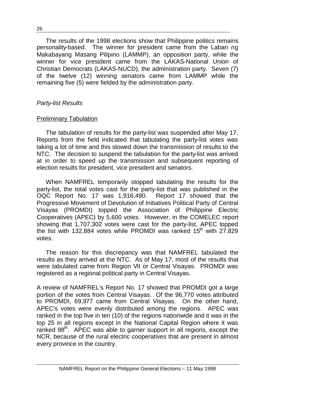The results of the 1998 elections show that Philippine politics remains personality-based. The winner for president came from the Laban ng Makabayang Masang Pilipino (LAMMP), an opposition party, while the winner for vice president came from the LAKAS-National Union of Christian Democrats (LAKAS-NUCD), the administration party. Seven (7) of the twelve (12) winning senators came from LAMMP while the remaining five (5) were fielded by the administration party.

# *Party-list Results*

# Preliminary Tabulation

The tabulation of results for the party-list was suspended after May 17. Reports from the field indicated that tabulating the party-list votes was taking a lot of time and this slowed down the transmission of results to the NTC. The decision to suspend the tabulation for the party-list was arrived at in order to speed up the transmission and subsequent reporting of election results for president, vice president and senators.

When NAMFREL temporarily stopped tabulating the results for the party-list, the total votes cast for the party-list that was published in the OQC Report No. 17 was 1,916,490. Report 17 showed that the Progressive Movement of Devolution of Initiatives Political Party of Central Visayas (PROMDI) topped the Association of Philippine Electric Cooperatives (APEC) by 5,600 votes. However, in the COMELEC report showing that 1,707,302 votes were cast for the party-list, APEC topped the list with 132,884 votes while PROMDI was ranked  $15<sup>th</sup>$  with 27,829 votes.

The reason for this discrepancy was that NAMFREL tabulated the results as they arrived at the NTC. As of May 17, most of the results that were tabulated came from Region VII or Central Visayas. PROMDI was registered as a regional political party in Central Visayas.

A review of NAMFREL's Report No. 17 showed that PROMDI got a large portion of the votes from Central Visayas. Of the 96,770 votes attributed to PROMDI, 69,977 came from Central Visayas. On the other hand, APEC's votes were evenly distributed among the regions. APEC was ranked in the top five in ten (10) of the regions nationwide and it was in the top 25 in all regions except in the National Capital Region where it was ranked  $98<sup>th</sup>$ . APEC was able to garner support in all regions, except the NCR, because of the rural electric cooperatives that are present in almost every province in the country.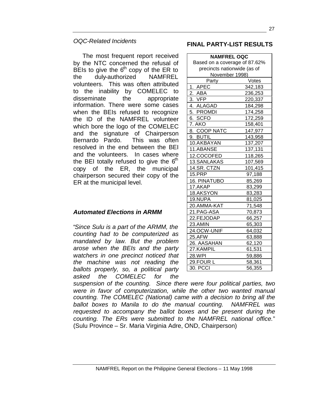# *OQC-Related Incidents*

The most frequent report received by the NTC concerned the refusal of BEIs to give the  $6<sup>th</sup>$  copy of the ER to the duly-authorized NAMFREL volunteers. This was often attributed to the inability by COMELEC to disseminate the appropriate information. There were some cases when the BEIs refused to recognize the ID of the NAMFREL volunteer which bore the logo of the COMELEC and the signature of Chairperson Bernardo Pardo. This was often resolved in the end between the BEI and the volunteers. In cases where the BEI totally refused to give the  $6<sup>th</sup>$ copy of the ER, the municipal chairperson secured their copy of the ER at the municipal level.

# *Automated Elections in ARMM*

"*Since Sulu is a part of the ARMM, the counting had to be computerized as mandated by law. But the problem arose when the BEIs and the party watchers in one precinct noticed that the machine was not reading the ballots properly, so, a political party asked the COMELEC for the*

#### **FINAL PARTY-LIST RESULTS**

| <b>NAMFREL OQC</b>            |                 |  |
|-------------------------------|-----------------|--|
| Based on a coverage of 87.62% |                 |  |
| precincts nationwide (as of   |                 |  |
| November 1998)                |                 |  |
| Party                         | Votes           |  |
| 1. APEC                       | 342,183         |  |
| $2_{.}$<br>ABA                | 236,253         |  |
| 3.<br><b>VFP</b>              | 220,337         |  |
| 4. ALAGAD                     | 184,298         |  |
| 5. PROMDI                     | 174,258         |  |
| 6. SCFO                       | 172,259         |  |
| 7. AKO                        | 158,401         |  |
| 8. COOP NATC                  | 147,977         |  |
| 9. BUTIL                      | 143,958         |  |
| 10.AKBAYAN                    | 137,207         |  |
| 11.ABANSE                     | 137 <u>,131</u> |  |
| 12.COCOFED                    | 118,265         |  |
| 13.SANLAKAS                   | 107,569         |  |
| 14.SR. CTZN                   | 101,415         |  |
| <b>15.PRP</b>                 | 97,188          |  |
| 16. PINATUBO                  | 85,269          |  |
| 17.AKAP                       | 83,299          |  |
| 18.AKSYON                     | 83,283          |  |
| 19.NUPA                       | 81,025          |  |
| 20.AMMA-KAT                   | 71,548          |  |
| 21.PAG-ASA                    | 70,873          |  |
| 22.FEJODAP                    | 66,257          |  |
| 23.AMIN                       | 65,303          |  |
| 24.OCW-UNIF                   | 64,032          |  |
| 25.AFW                        | 63,888          |  |
| 26. AASAHAN                   | 62,120          |  |
| 27.KAMPIL                     | 61,531          |  |
| 28.WPI                        | 59,886          |  |
| 29.FOUR L                     | 58,361          |  |
| 30. PCCI                      | 56,355          |  |

*suspension of the counting. Since there were four political parties, two were in favor of computerization, while the other two wanted manual counting. The COMELEC (National) came with a decision to bring all the ballot boxes to Manila to do the manual counting. NAMFREL was requested to accompany the ballot boxes and be present during the counting. The ERs were submitted to the NAMFREL national office.*" (Sulu Province – Sr. Maria Virginia Adre, OND, Chairperson)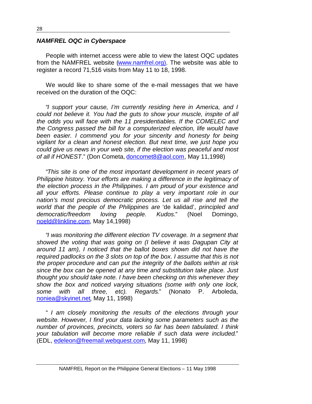#### *NAMFREL OQC in Cyberspace*

People with internet access were able to view the latest OQC updates from the NAMFREL website (www.namfrel.org). The website was able to register a record 71,516 visits from May 11 to 18, 1998.

We would like to share some of the e-mail messages that we have received on the duration of the OQC:

"*I support your cause, I'm currently residing here in America, and I could not believe it. You had the guts to show your muscle, inspite of all the odds you will face with the 11 presidentiables. If the COMELEC and the Congress passed the bill for a computerized election, life would have been easier. I commend you for your sincerity and honesty for being vigilant for a clean and honest election. But next time, we just hope you could give us news in your web site, if the election was peaceful and most of all if HONEST*." (Don Cometa, doncomet8@aol.com, May 11,1998)

"*This site is one of the most important development in recent years of Philippine history. Your efforts are making a difference in the legitimacy of the election process in the Philippines. I am proud of your existence and all your efforts. Please continue to play a very important role in our nation's most precious democratic process. Let us all rise and tell the world that the people of the Philippines are* 'de kalidad'*, principled and democratic/freedom loving people. Kudos*." (Noel Domingo, noeld@linkline.com, May 14,1998)

"*I was monitoring the different election TV coverage. In a segment that showed the voting that was going on (I believe it was Dagupan City at around 11 am), I noticed that the ballot boxes shown did not have the required padlocks on the 3 slots on top of the box. I assume that this is not the proper procedure and can put the integrity of the ballots within at risk since the box can be opened at any time and substitution take place. Just thought you should take note. I have been checking on this whenever they show the box and noticed varying situations (some with only one lock, some with all three, etc). Regards*." (Nonato P. Arboleda, noniea@skyinet.net, May 11, 1998)

" *I am closely monitoring the results of the elections through your website. However, I find your data lacking some parameters such as the number of provinces, precincts, voters so far has been tabulated. I think your tabulation will become more reliable if such data were included*." (EDL, edeleon@freemail.webquest.com, May 11, 1998)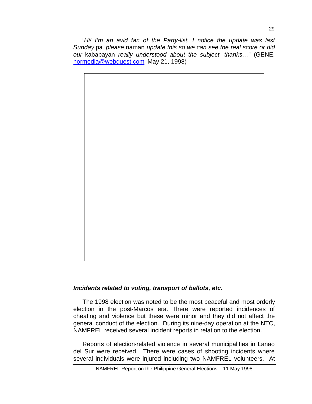"*Hi! I'm an avid fan of the Party-list. I notice the update was last Sunday* pa*, please* naman *update this so we can see the real score or did our* kababayan *really understood about the subject, thanks…*" (GENE, hormedia@webquest.com, May 21, 1998)



# *Incidents related to voting, transport of ballots, etc.*

The 1998 election was noted to be the most peaceful and most orderly election in the post-Marcos era. There were reported incidences of cheating and violence but these were minor and they did not affect the general conduct of the election. During its nine-day operation at the NTC, NAMFREL received several incident reports in relation to the election.

Reports of election-related violence in several municipalities in Lanao del Sur were received. There were cases of shooting incidents where several individuals were injured including two NAMFREL volunteers. At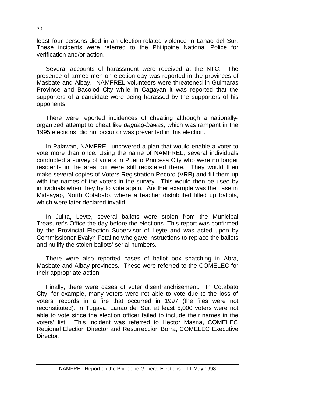least four persons died in an election-related violence in Lanao del Sur. These incidents were referred to the Philippine National Police for verification and/or action.

Several accounts of harassment were received at the NTC. The presence of armed men on election day was reported in the provinces of Masbate and Albay. NAMFREL volunteers were threatened in Guimaras Province and Bacolod City while in Cagayan it was reported that the supporters of a candidate were being harassed by the supporters of his opponents.

There were reported incidences of cheating although a nationallyorganized attempt to cheat like *dagdag-bawas*, which was rampant in the 1995 elections, did not occur or was prevented in this election.

In Palawan, NAMFREL uncovered a plan that would enable a voter to vote more than once. Using the name of NAMFREL, several individuals conducted a survey of voters in Puerto Princesa City who were no longer residents in the area but were still registered there. They would then make several copies of Voters Registration Record (VRR) and fill them up with the names of the voters in the survey. This would then be used by individuals when they try to vote again. Another example was the case in Midsayap, North Cotabato, where a teacher distributed filled up ballots, which were later declared invalid.

In Julita, Leyte, several ballots were stolen from the Municipal Treasurer's Office the day before the elections. This report was confirmed by the Provincial Election Supervisor of Leyte and was acted upon by Commissioner Evalyn Fetalino who gave instructions to replace the ballots and nullify the stolen ballots' serial numbers.

There were also reported cases of ballot box snatching in Abra, Masbate and Albay provinces. These were referred to the COMELEC for their appropriate action.

Finally, there were cases of voter disenfranchisement. In Cotabato City, for example, many voters were not able to vote due to the loss of voters' records in a fire that occurred in 1997 (the files were not reconstituted). In Tugaya, Lanao del Sur, at least 5,000 voters were not able to vote since the election officer failed to include their names in the voters' list. This incident was referred to Hector Masna, COMELEC Regional Election Director and Resurreccion Borra, COMELEC Executive Director.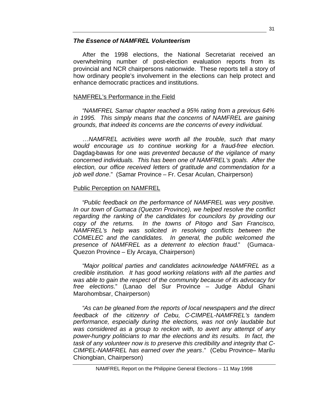# *The Essence of NAMFREL Volunteerism*

After the 1998 elections, the National Secretariat received an overwhelming number of post-election evaluation reports from its provincial and NCR chairpersons nationwide. These reports tell a story of how ordinary people's involvement in the elections can help protect and enhance democratic practices and institutions.

# NAMFREL's Performance in the Field

"*NAMFREL Samar chapter reached a 95% rating from a previous 64% in 1995. This simply means that the concerns of NAMFREL are gaining grounds, that indeed its concerns are the concerns of every individual.*

*…NAMFREL activities were worth all the trouble, such that many would encourage us to continue working for a fraud-free election.* Dagdag-bawas *for one was prevented because of the vigilance of many concerned individuals. This has been one of NAMFREL's goals. After the election, our office received letters of gratitude and commendation for a job well done*." (Samar Province – Fr. Cesar Aculan, Chairperson)

# Public Perception on NAMFREL

"*Public feedback on the performance of NAMFREL was very positive. In our town of Gumaca (Quezon Province), we helped resolve the conflict regarding the ranking of the candidates for councilors by providing our copy of the returns. In the towns of Pitogo and San Francisco, NAMFREL's help was solicited in resolving conflicts between the COMELEC and the candidates. In general, the public welcomed the presence of NAMFREL as a deterrent to election fraud*." (Gumaca-Quezon Province – Ely Arcaya, Chairperson)

"*Major political parties and candidates acknowledge NAMFREL as a credible institution. It has good working relations with all the parties and was able to gain the respect of the community because of its advocacy for free elections*." (Lanao del Sur Province – Judge Abdul Ghani Marohombsar, Chairperson)

"*As can be gleaned from the reports of local newspapers and the direct feedback of the citizenry of Cebu, C-CIMPEL-NAMFREL's tandem performance, especially during the elections, was not only laudable but was considered as a group to reckon with, to avert any attempt of any power-hungry politicians to mar the elections and its results. In fact, the task of any volunteer now is to preserve this credibility and integrity that C-CIMPEL-NAMFREL has earned over the years*." (Cebu Province– Marilu Chiongbian, Chairperson)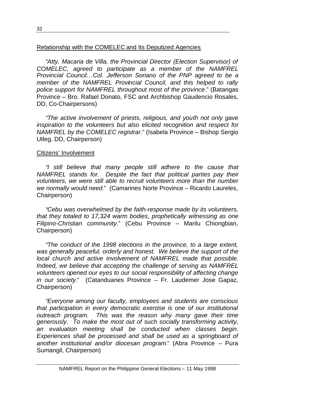#### Relationship with the COMELEC and Its Deputized Agencies

"*Atty. Macaria de Villa, the Provincial Director (Election Supervisor) of COMELEC, agreed to participate as a member of the NAMFREL Provincial Council…Col. Jefferson Soriano of the PNP agreed to be a member of the NAMFREL Provincial Council, and this helped to rally police support for NAMFREL throughout most of the province*." (Batangas Province – Bro. Rafael Donato, FSC and Archbishop Gaudencio Rosales, DD, Co-Chairpersons)

"*The active involvement of priests, religious, and youth not only gave inspiration to the volunteers but also elicited recognition and respect for NAMFREL by the COMELEC registrar*." (Isabela Province – Bishop Sergio Utleg, DD, Chairperson)

#### Citizens' Involvement

"*I still believe that many people still adhere to the cause that NAMFREL stands for. Despite the fact that political parties pay their volunteers, we were still able to recruit volunteers more than the number we normally would need.*" (Camarines Norte Province – Ricardo Laureles, Chairperson)

"*Cebu was overwhelmed by the faith-response made by its volunteers, that they totaled to 17,324 warm bodies, prophetically witnessing as one Filipino-Christian community*." (Cebu Province – Marilu Chiongbian, Chairperson)

"*The conduct of the 1998 elections in the province, to a large extent, was generally peaceful, orderly and honest. We believe the support of the local church and active involvement of NAMFREL made that possible. Indeed, we believe that accepting the challenge of serving as NAMFREL volunteers opened our eyes to our social responsibility of affecting change in our society*." (Catanduanes Province – Fr. Laudemer Jose Gapaz, Chairperson)

"*Everyone among our faculty, employees and students are conscious that participation in every democratic exercise is one of our institutional outreach program. This was the reason why many gave their time generously. To make the most out of such socially transforming activity, an evaluation meeting shall be conducted when classes begin. Experiences shall be processed and shall be used as a springboard of another institutional and/or diocesan program*." (Abra Province – Pura Sumangil, Chairperson)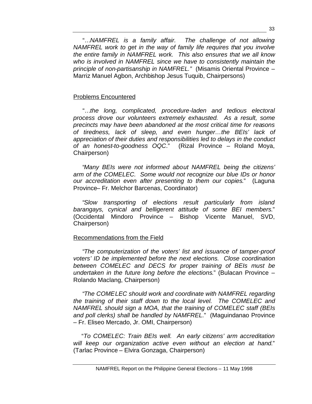"…*NAMFREL is a family affair. The challenge of not allowing NAMFREL work to get in the way of family life requires that you involve the entire family in NAMFREL work. This also ensures that we all know who is involved in NAMFREL since we have to consistently maintain the principle of non-partisanship in NAMFREL."* (Misamis Oriental Province – Marriz Manuel Agbon, Archbishop Jesus Tuquib, Chairpersons)

# Problems Encountered

"…*the long, complicated, procedure-laden and tedious electoral process drove our volunteers extremely exhausted. As a result, some precincts may have been abandoned at the most critical time for reasons of tiredness, lack of sleep, and even hunger…the BEIs' lack of appreciation of their duties and responsibilities led to delays in the conduct of an honest-to-goodness OQC*." (Rizal Province – Roland Moya, Chairperson)

"*Many BEIs were not informed about NAMFREL being the citizens' arm of the COMELEC. Some would not recognize our blue IDs or honor our accreditation even after presenting to them our copies*." (Laguna Province– Fr. Melchor Barcenas, Coordinator)

"*Slow transporting of elections result particularly from island barangays, cynical and belligerent attitude of some BEI members*." (Occidental Mindoro Province – Bishop Vicente Manuel, SVD, Chairperson)

# Recommendations from the Field

"*The computerization of the voters' list and issuance of tamper-proof voters' ID be implemented before the next elections. Close coordination between COMELEC and DECS for proper training of BEIs must be undertaken in the future long before the elections*." (Bulacan Province – Rolando Maclang, Chairperson)

"*The COMELEC should work and coordinate with NAMFREL regarding the training of their staff down to the local level. The COMELEC and NAMFREL should sign a MOA, that the training of COMELEC staff (BEIs and poll clerks) shall be handled by NAMFREL*." (Maguindanao Province – Fr. Eliseo Mercado, Jr. OMI, Chairperson)

"*To COMELEC: Train BEIs well. An early citizens' arm accreditation will keep our organization active even without an election at hand*." (Tarlac Province – Elvira Gonzaga, Chairperson)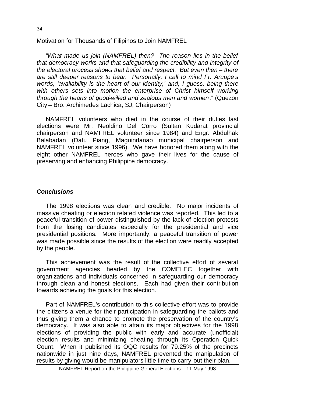#### Motivation for Thousands of Filipinos to Join NAMFREL

"*What made us join (NAMFREL) then? The reason lies in the belief that democracy works and that safeguarding the credibility and integrity of the electoral process shows that belief and respect. But even then – there are still deeper reasons to bear. Personally, I call to mind Fr. Aruppe's words, 'availability is the heart of our identity,' and, I guess, being there with others sets into motion the enterprise of Christ himself working through the hearts of good-willed and zealous men and women*." (Quezon City – Bro. Archimedes Lachica, SJ, Chairperson)

NAMFREL volunteers who died in the course of their duties last elections were Mr. Neoldino Del Corro (Sultan Kudarat provincial chairperson and NAMFREL volunteer since 1984) and Engr. Abdulhak Balabadan (Datu Piang, Maguindanao municipal chairperson and NAMFREL volunteer since 1996). We have honored them along with the eight other NAMFREL heroes who gave their lives for the cause of preserving and enhancing Philippine democracy.

#### *Conclusions*

The 1998 elections was clean and credible. No major incidents of massive cheating or election related violence was reported. This led to a peaceful transition of power distinguished by the lack of election protests from the losing candidates especially for the presidential and vice presidential positions. More importantly, a peaceful transition of power was made possible since the results of the election were readily accepted by the people.

This achievement was the result of the collective effort of several government agencies headed by the COMELEC together with organizations and individuals concerned in safeguarding our democracy through clean and honest elections. Each had given their contribution towards achieving the goals for this election.

Part of NAMFREL's contribution to this collective effort was to provide the citizens a venue for their participation in safeguarding the ballots and thus giving them a chance to promote the preservation of the country's democracy. It was also able to attain its major objectives for the 1998 elections of providing the public with early and accurate (unofficial) election results and minimizing cheating through its Operation Quick Count. When it published its OQC results for 79.25% of the precincts nationwide in just nine days, NAMFREL prevented the manipulation of results by giving would-be manipulators little time to carry-out their plan.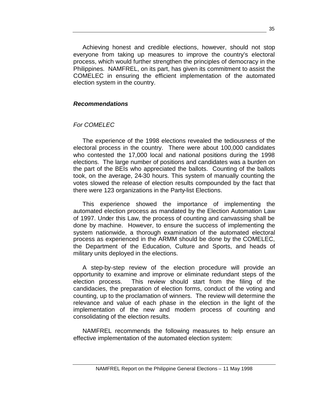Achieving honest and credible elections, however, should not stop everyone from taking up measures to improve the country's electoral process, which would further strengthen the principles of democracy in the Philippines. NAMFREL, on its part, has given its commitment to assist the COMELEC in ensuring the efficient implementation of the automated election system in the country.

#### *Recommendations*

#### *For COMELEC*

The experience of the 1998 elections revealed the tediousness of the electoral process in the country. There were about 100,000 candidates who contested the 17,000 local and national positions during the 1998 elections. The large number of positions and candidates was a burden on the part of the BEIs who appreciated the ballots. Counting of the ballots took, on the average, 24-30 hours. This system of manually counting the votes slowed the release of election results compounded by the fact that there were 123 organizations in the Party-list Elections.

This experience showed the importance of implementing the automated election process as mandated by the Election Automation Law of 1997. Under this Law, the process of counting and canvassing shall be done by machine. However, to ensure the success of implementing the system nationwide, a thorough examination of the automated electoral process as experienced in the ARMM should be done by the COMELEC, the Department of the Education, Culture and Sports, and heads of military units deployed in the elections.

A step-by-step review of the election procedure will provide an opportunity to examine and improve or eliminate redundant steps of the election process. This review should start from the filing of the candidacies, the preparation of election forms, conduct of the voting and counting, up to the proclamation of winners. The review will determine the relevance and value of each phase in the election in the light of the implementation of the new and modern process of counting and consolidating of the election results.

NAMFREL recommends the following measures to help ensure an effective implementation of the automated election system: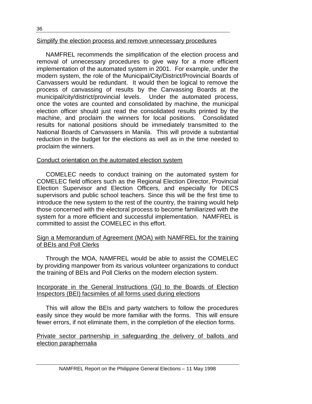#### Simplify the election process and remove unnecessary procedures

NAMFREL recommends the simplification of the election process and removal of unnecessary procedures to give way for a more efficient implementation of the automated system in 2001. For example, under the modern system, the role of the Municipal/City/District/Provincial Boards of Canvassers would be redundant. It would then be logical to remove the process of canvassing of results by the Canvassing Boards at the municipal/city/district/provincial levels. Under the automated process, once the votes are counted and consolidated by machine, the municipal election officer should just read the consolidated results printed by the machine, and proclaim the winners for local positions. Consolidated results for national positions should be immediately transmitted to the National Boards of Canvassers in Manila. This will provide a substantial reduction in the budget for the elections as well as in the time needed to proclaim the winners.

# Conduct orientation on the automated election system

COMELEC needs to conduct training on the automated system for COMELEC field officers such as the Regional Election Director, Provincial Election Supervisor and Election Officers, and especially for DECS supervisors and public school teachers. Since this will be the first time to introduce the new system to the rest of the country, the training would help those concerned with the electoral process to become familiarized with the system for a more efficient and successful implementation. NAMFREL is committed to assist the COMELEC in this effort.

# Sign a Memorandum of Agreement (MOA) with NAMFREL for the training of BEIs and Poll Clerks

Through the MOA, NAMFREL would be able to assist the COMELEC by providing manpower from its various volunteer organizations to conduct the training of BEIs and Poll Clerks on the modern election system.

#### Incorporate in the General Instructions (GI) to the Boards of Election Inspectors (BEI) facsimiles of all forms used during elections

This will allow the BEIs and party watchers to follow the procedures easily since they would be more familiar with the forms. This will ensure fewer errors, if not eliminate them, in the completion of the election forms.

Private sector partnership in safeguarding the delivery of ballots and election paraphernalia